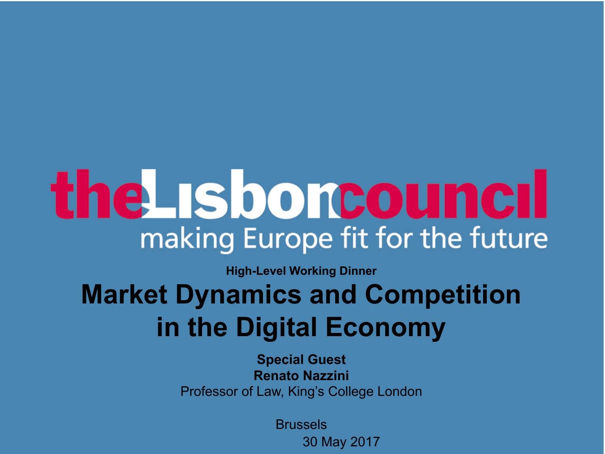## the Isborcouncil making Europe fit for the future

**High-Level Working Dinner** 

#### **Market Dynamics and Competition in the Digital Economy**

**Special Guest Renato Nazzini** Professor of Law, King's College London

> Brussels 30 May 2017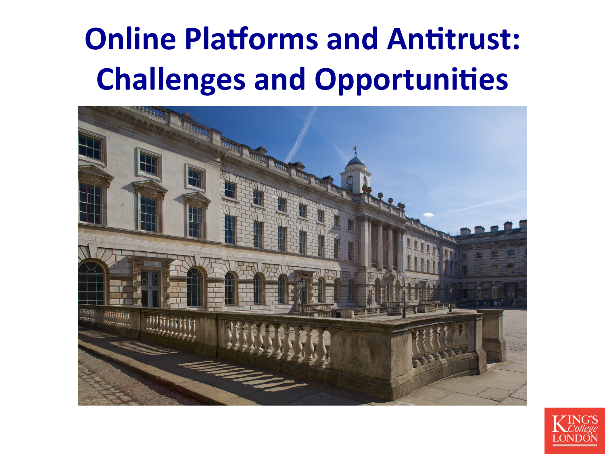#### **Online Platforms and Antitrust: Challenges and Opportunities**



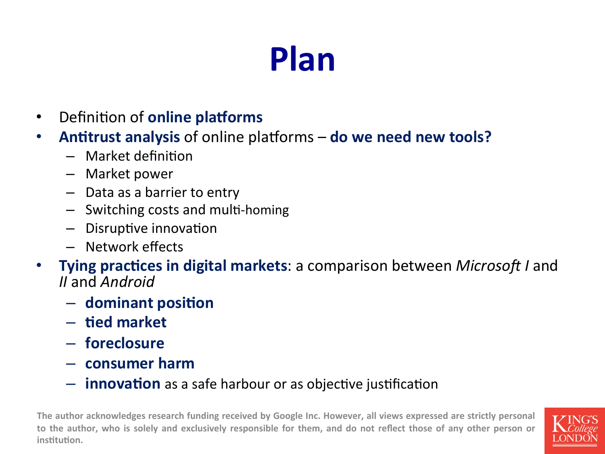#### Plan

- Definition of online platforms  $\bullet$
- Antitrust analysis of online platforms do we need new tools?  $\bullet$ 
	- $-$  Market definition
	- Market power
	- $-$  Data as a barrier to entry
	- Switching costs and multi-homing
	- Disruptive innovation
	- Network effects
- Tying practices in digital markets: a comparison between Microsoft I and  $\bullet$ *II* and *Android* 
	- dominant position
	- tied market
	- foreclosure
	- consumer harm
	- **innovation** as a safe harbour or as objective justification

The author acknowledges research funding received by Google Inc. However, all views expressed are strictly personal to the author, who is solely and exclusively responsible for them, and do not reflect those of any other person or institution.

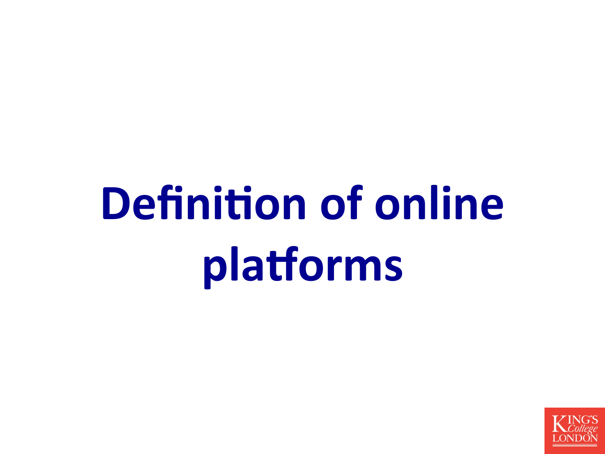# **Definition of online** platforms

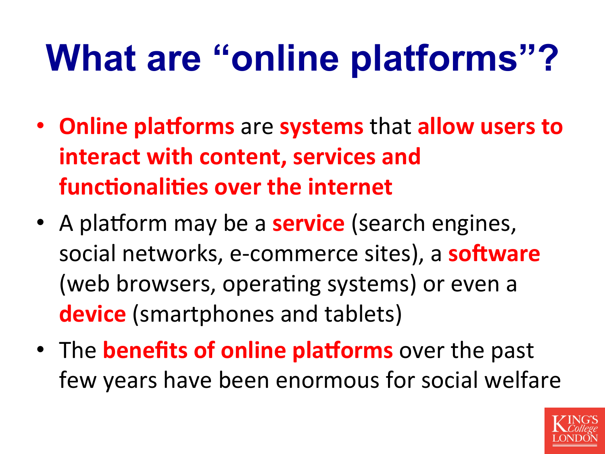### **What are "online platforms"?**

- Online platforms are systems that allow users to **interact with content, services and functionalities over the internet**
- A platform may be a **service** (search engines, social networks, e-commerce sites), a **software** (web browsers, operating systems) or even a **device** (smartphones and tablets)
- The **benefits of online platforms** over the past few years have been enormous for social welfare

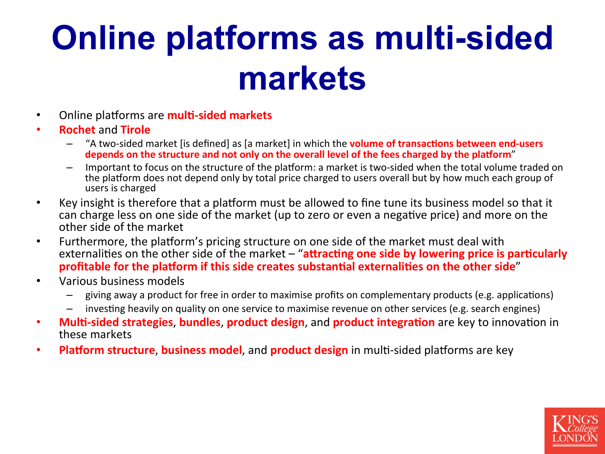#### **Online platforms as multi-sided markets**

- **•** Online platforms are **multi-sided markets**
- **Rochet** and **Tirole**
	- $-$  "A two-sided market [is defined] as [a market] in which the **volume of transactions between end-users** depends on the structure and not only on the overall level of the fees charged by the platform"
	- Important to focus on the structure of the platform: a market is two-sided when the total volume traded on the platform does not depend only by total price charged to users overall but by how much each group of users is charged
- Key insight is therefore that a platform must be allowed to fine tune its business model so that it can charge less on one side of the market (up to zero or even a negative price) and more on the other side of the market
- Furthermore, the platform's pricing structure on one side of the market must deal with externalities on the other side of the market  $-$  "attracting one side by lowering price is particularly **profitable for the platform if this side creates substantial externalities on the other side**"
- Various business models
	- giving away a product for free in order to maximise profits on complementary products (e.g. applications)
	- investing heavily on quality on one service to maximise revenue on other services (e.g. search engines)
- Multi-sided strategies, **bundles, product design**, and **product integration** are key to innovation in these markets
- **Platform structure, business model,** and **product design** in multi-sided platforms are key

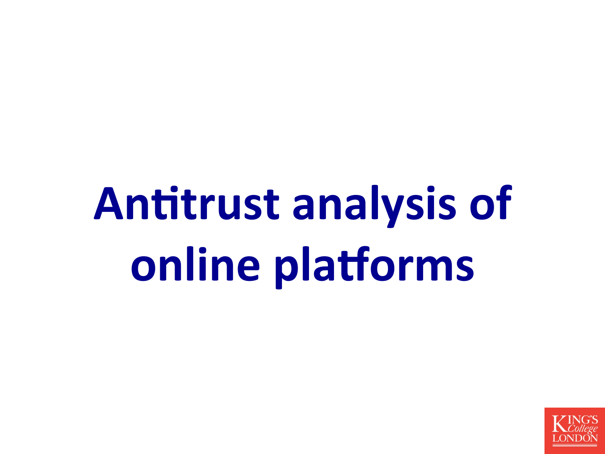# **Antitrust analysis of** online platforms

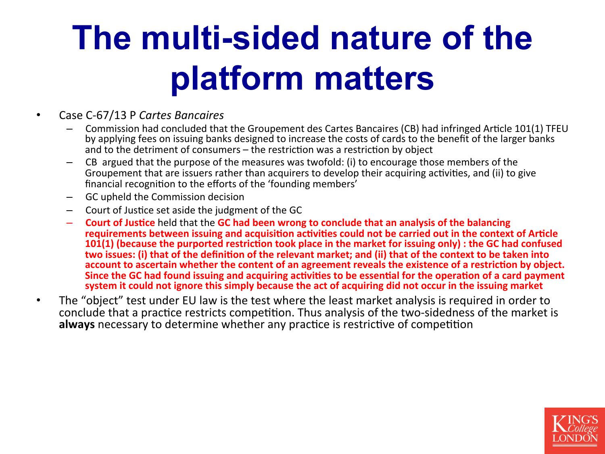#### **The multi-sided nature of the platform matters**

- Case C-67/13 P *Cartes Bancaires*
	- Commission had concluded that the Groupement des Cartes Bancaires (CB) had infringed Article 101(1) TFEU by applying fees on issuing banks designed to increase the costs of cards to the benefit of the larger banks and to the detriment of consumers  $-$  the restriction was a restriction by object
	- CB argued that the purpose of the measures was twofold: (i) to encourage those members of the Groupement that are issuers rather than acquirers to develop their acquiring activities, and (ii) to give financial recognition to the efforts of the 'founding members'
	- GC upheld the Commission decision
	- Court of Justice set aside the judgment of the GC
	- **Court of Justice** held that the **GC had been wrong to conclude that an analysis of the balancing** requirements between issuing and acquisition activities could not be carried out in the context of Article **101(1)** (because the purported restriction took place in the market for issuing only) : the GC had confused two issues: (i) that of the definition of the relevant market; and (ii) that of the context to be taken into account to ascertain whether the content of an agreement reveals the existence of a restriction by object. Since the GC had found issuing and acquiring activities to be essential for the operation of a card payment system it could not ignore this simply because the act of acquiring did not occur in the issuing market
- The "object" test under EU law is the test where the least market analysis is required in order to conclude that a practice restricts competition. Thus analysis of the two-sidedness of the market is **always** necessary to determine whether any practice is restrictive of competition

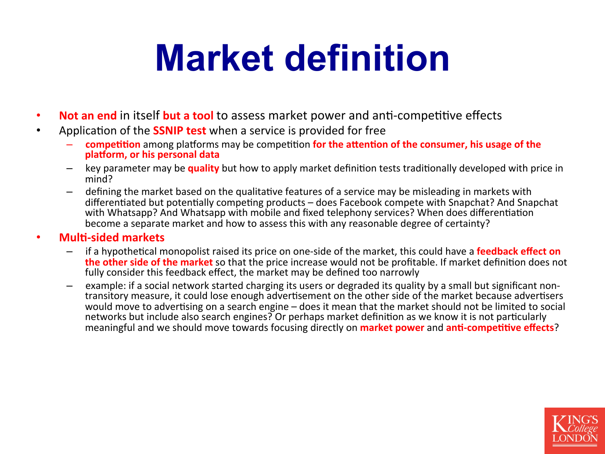#### **Market definition**

- Not an end in itself but a tool to assess market power and anti-competitive effects
- Application of the **SSNIP test** when a service is provided for free
	- competition among platforms may be competition for the attention of the consumer, his usage of the platform, or his personal data
	- key parameter may be **quality** but how to apply market definition tests traditionally developed with price in mind?
	- defining the market based on the qualitative features of a service may be misleading in markets with differentiated but potentially competing products – does Facebook compete with Snapchat? And Snapchat with Whatsapp? And Whatsapp with mobile and fixed telephony services? When does differentiation become a separate market and how to assess this with any reasonable degree of certainty?

#### • **Multi-sided markets**

- if a hypothetical monopolist raised its price on one-side of the market, this could have a **feedback effect on the other side of the market** so that the price increase would not be profitable. If market definition does not fully consider this feedback effect, the market may be defined too narrowly
- $-$  example: if a social network started charging its users or degraded its quality by a small but significant nontransitory measure, it could lose enough advertisement on the other side of the market because advertisers would move to advertising on a search engine – does it mean that the market should not be limited to social networks but include also search engines? Or perhaps market definition as we know it is not particularly meaningful and we should move towards focusing directly on **market power** and **anti-competitive effects**?

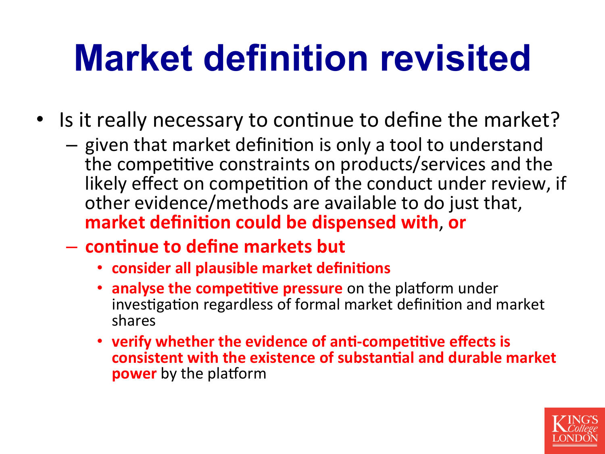### **Market definition revisited**

- Is it really necessary to continue to define the market?
	- $-$  given that market definition is only a tool to understand the competitive constraints on products/services and the likely effect on competition of the conduct under review, if other evidence/methods are available to do just that, market definition could be dispensed with, or
	- $-$  continue to define markets but
		- **consider all plausible market definitions**
		- analyse the competitive pressure on the platform under investigation regardless of formal market definition and market shares
		- verify whether the evidence of anti-competitive effects is **consistent with the existence of substantial and durable market power** by the platform

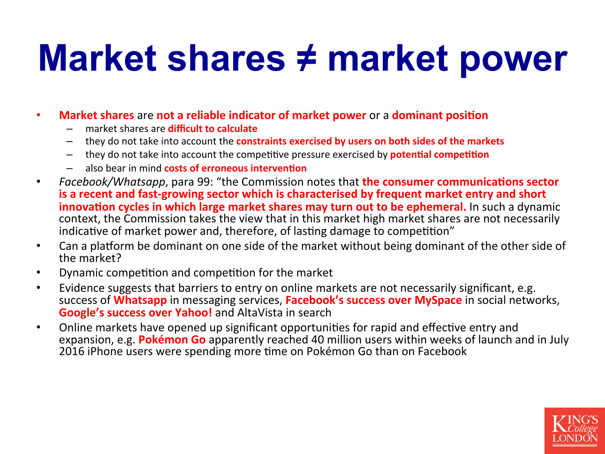#### **Market shares ≠ market power**

• Market shares are not a reliable indicator of market power or a dominant position

- market shares are **difficult to calculate**
- they do not take into account the **constraints exercised by users on both sides of the markets**
- they do not take into account the competitive pressure exercised by **potential competition**
- also bear in mind **costs of erroneous intervention**
- *Facebook/Whatsapp*, para 99: "the Commission notes that **the consumer communications sector is a recent and fast-growing sector which is characterised by frequent market entry and short innovation cycles in which large market shares may turn out to be ephemeral.** In such a dynamic context, the Commission takes the view that in this market high market shares are not necessarily indicative of market power and, therefore, of lasting damage to competition"
- Can a platform be dominant on one side of the market without being dominant of the other side of the market?
- Dynamic competition and competition for the market
- Evidence suggests that barriers to entry on online markets are not necessarily significant, e.g. success of **Whatsapp** in messaging services, **Facebook's success over MySpace** in social networks, **Google's success over Yahoo!** and AltaVista in search
- Online markets have opened up significant opportunities for rapid and effective entry and expansion, e.g. **Pokémon Go** apparently reached 40 million users within weeks of launch and in July 2016 iPhone users were spending more time on Pokémon Go than on Facebook

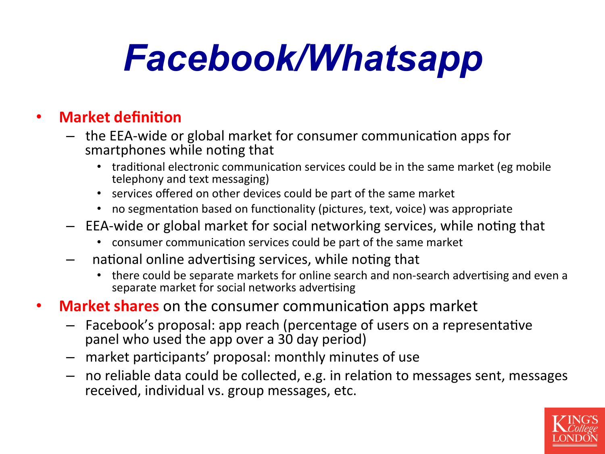#### *Facebook/Whatsapp*

#### **•** Market definition

- $-$  the EEA-wide or global market for consumer communication apps for smartphones while noting that
	- traditional electronic communication services could be in the same market (eg mobile telephony and text messaging)
	- services offered on other devices could be part of the same market
	- no segmentation based on functionality (pictures, text, voice) was appropriate
- $-$  EEA-wide or global market for social networking services, while noting that
	- consumer communication services could be part of the same market
- national online advertising services, while noting that
	- there could be separate markets for online search and non-search advertising and even a separate market for social networks advertising
- Market shares on the consumer communication apps market
	- $-$  Facebook's proposal: app reach (percentage of users on a representative panel who used the app over a 30 day period)
	- $-$  market participants' proposal: monthly minutes of use
	- no reliable data could be collected, e.g. in relation to messages sent, messages received, individual vs. group messages, etc.

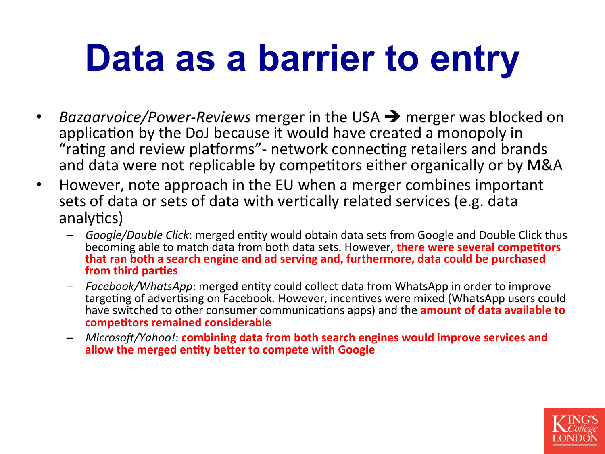#### **Data as a barrier to entry**

- *Bazaarvoice/Power-Reviews* merger in the USA  $\rightarrow$  merger was blocked on application by the DoJ because it would have created a monopoly in "rating and review platforms"- network connecting retailers and brands and data were not replicable by competitors either organically or by M&A
- However, note approach in the EU when a merger combines important sets of data or sets of data with vertically related services (e.g. data analytics)
	- *Google/Double Click*: merged entity would obtain data sets from Google and Double Click thus becoming able to match data from both data sets. However, **there were several competitors** that ran both a search engine and ad serving and, furthermore, data could be purchased **from third parties**
	- $-$  *Facebook/WhatsApp*: merged entity could collect data from WhatsApp in order to improve targeting of advertising on Facebook. However, incentives were mixed (WhatsApp users could have switched to other consumer communications apps) and the **amount of data available to competitors remained considerable**
	- $-$  *Microsoft/Yahoo!*: **combining data from both search engines would improve services and** allow the merged entity better to compete with Google

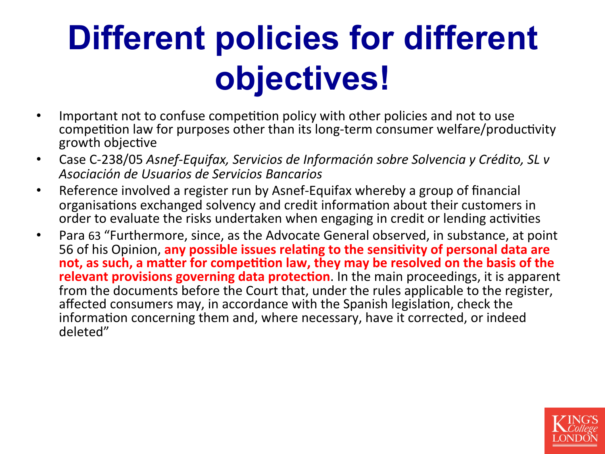#### **Different policies for different objectives!**

- Important not to confuse competition policy with other policies and not to use competition law for purposes other than its long-term consumer welfare/productivity growth objective
- Case C-238/05 *Asnef-Equifax, Servicios de Información sobre Solvencia y Crédito, SL v Asociación de Usuarios de Servicios Bancarios*
- Reference involved a register run by Asnef-Equifax whereby a group of financial organisations exchanged solvency and credit information about their customers in order to evaluate the risks undertaken when engaging in credit or lending activities
- Para 63 "Furthermore, since, as the Advocate General observed, in substance, at point 56 of his Opinion, any possible issues relating to the sensitivity of personal data are not, as such, a matter for competition law, they may be resolved on the basis of the **relevant provisions governing data protection**. In the main proceedings, it is apparent from the documents before the Court that, under the rules applicable to the register, affected consumers may, in accordance with the Spanish legislation, check the information concerning them and, where necessary, have it corrected, or indeed deleted"

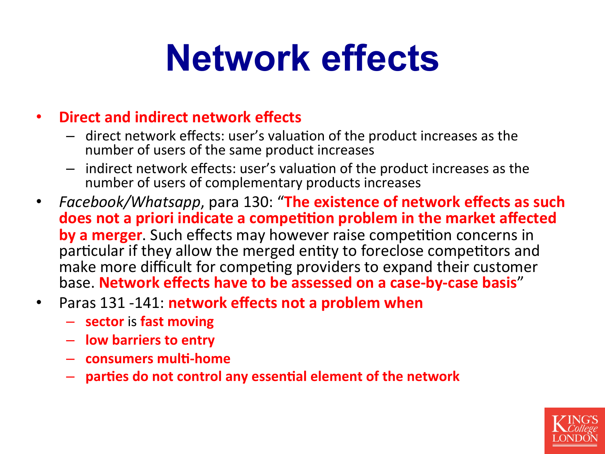#### **Network effects**

#### **• Direct and indirect network effects**

- $-$  direct network effects: user's valuation of the product increases as the number of users of the same product increases
- $-$  indirect network effects: user's valuation of the product increases as the number of users of complementary products increases
- Facebook/Whatsapp, para 130: "The existence of network effects as such does not a priori indicate a competition problem in the market affected **by a merger**. Such effects may however raise competition concerns in particular if they allow the merged entity to foreclose competitors and make more difficult for competing providers to expand their customer base. Network effects have to be assessed on a case-by-case basis"
- Paras 131 -141: **network effects not a problem when** 
	- $-$  **sector** is **fast moving**
	- $-$  **low barriers to entry**
	- $-$  consumers multi-home
	- parties do not control any essential element of the network

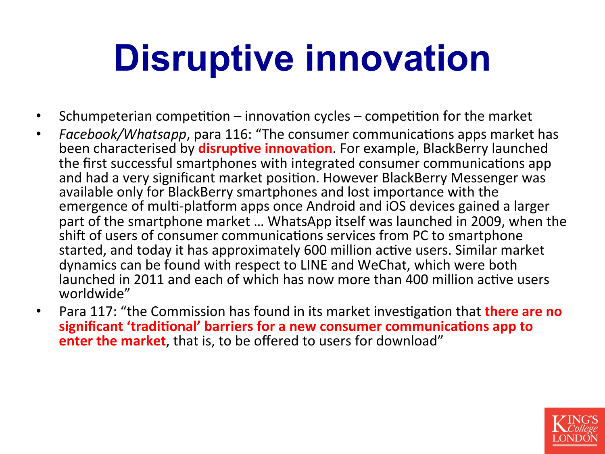#### **Disruptive innovation**

- Schumpeterian competition  $-$  innovation cycles  $-$  competition for the market
- *Facebook/Whatsapp*, para 116: "The consumer communications apps market has been characterised by **disruptive innovation**. For example, BlackBerry launched the first successful smartphones with integrated consumer communications app and had a very significant market position. However BlackBerry Messenger was available only for BlackBerry smartphones and lost importance with the emergence of multi-platform apps once Android and iOS devices gained a larger part of the smartphone market ... WhatsApp itself was launched in 2009, when the shift of users of consumer communications services from PC to smartphone started, and today it has approximately 600 million active users. Similar market dynamics can be found with respect to LINE and WeChat, which were both launched in 2011 and each of which has now more than 400 million active users worldwide"
- Para 117: "the Commission has found in its market investigation that **there are no** significant 'traditional' barriers for a new consumer communications app to **enter the market**, that is, to be offered to users for download"

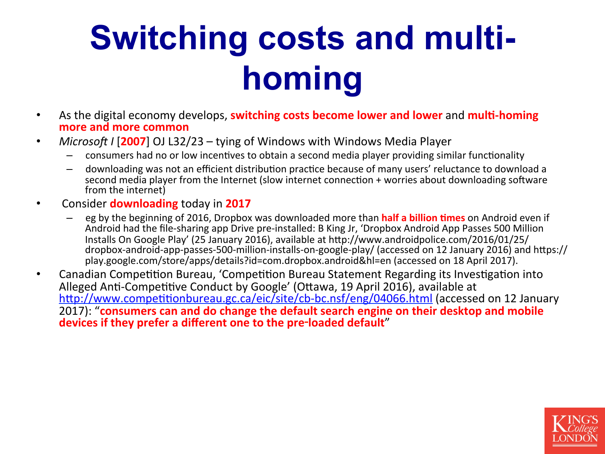#### **Switching costs and multihoming**

- As the digital economy develops, **switching costs become lower and lower** and **multi-homing** more and more common
- *Microsoft I* [2007] OJ L32/23 tying of Windows with Windows Media Player
	- consumers had no or low incentives to obtain a second media player providing similar functionality
	- downloading was not an efficient distribution practice because of many users' reluctance to download a second media player from the Internet (slow internet connection + worries about downloading software from the internet)
- **•** Consider **downloading** today in 2017
	- eg by the beginning of 2016, Dropbox was downloaded more than **half a billion times** on Android even if Android had the file-sharing app Drive pre-installed: B King Jr, 'Dropbox Android App Passes 500 Million Installs On Google Play' (25 January 2016), available at http://www.androidpolice.com/2016/01/25/ dropbox-android-app-passes-500-million-installs-on-google-play/ (accessed on 12 January 2016) and https:// play.google.com/store/apps/details?id=com.dropbox.android&hl=en (accessed on 18 April 2017).
- Canadian Competition Bureau, 'Competition Bureau Statement Regarding its Investigation into Alleged Anti-Competitive Conduct by Google' (Ottawa, 19 April 2016), available at http://www.competitionbureau.gc.ca/eic/site/cb-bc.nsf/eng/04066.html (accessed on 12 January 2017): "consumers can and do change the default search engine on their desktop and mobile **devices if they prefer a different one to the pre-loaded default"**

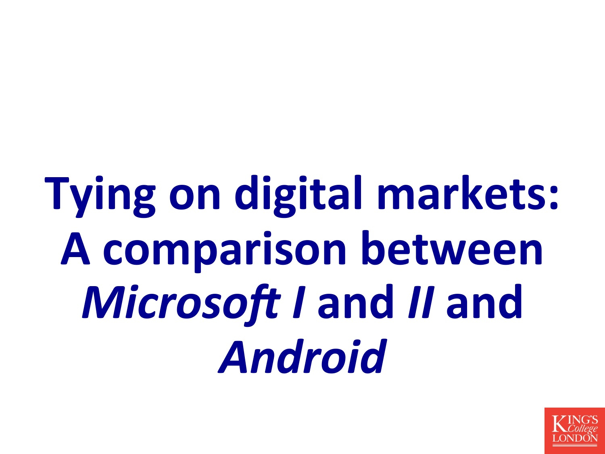## **Tying on digital markets: A comparison between Microsoft I and II and** *Android*

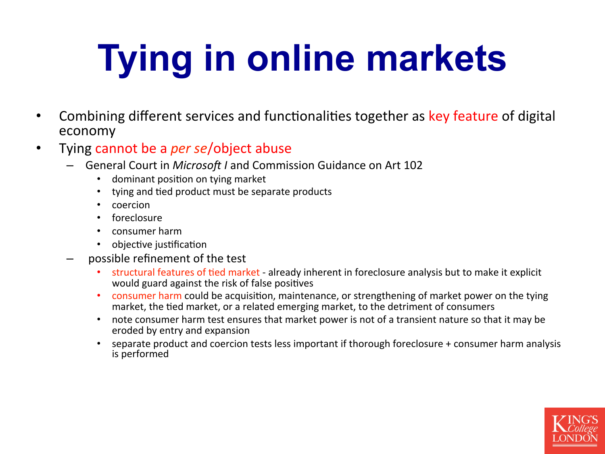### **Tying in online markets**

- Combining different services and functionalities together as key feature of digital economy
- Tying cannot be a *per se*/object abuse
	- General Court in *Microsoft I* and Commission Guidance on Art 102
		- dominant position on tying market
		- tying and tied product must be separate products
		- coercion
		- foreclosure
		- consumer harm
		- objective justification
	- possible refinement of the test
		- structural features of tied market already inherent in foreclosure analysis but to make it explicit would guard against the risk of false positives
		- consumer harm could be acquisition, maintenance, or strengthening of market power on the tying market, the tied market, or a related emerging market, to the detriment of consumers
		- note consumer harm test ensures that market power is not of a transient nature so that it may be eroded by entry and expansion
		- separate product and coercion tests less important if thorough foreclosure + consumer harm analysis is performed

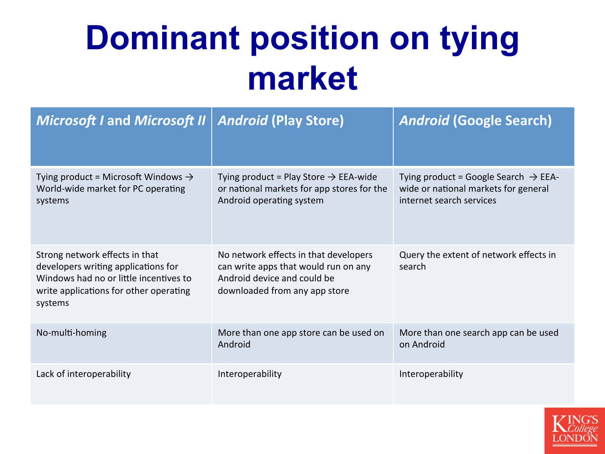#### **Dominant position on tying market**

| <b>Microsoft I and Microsoft II</b>                                                                                                                                  | <b>Android (Play Store)</b>                                                                                                                   | <b>Android (Google Search)</b>                                                                                       |
|----------------------------------------------------------------------------------------------------------------------------------------------------------------------|-----------------------------------------------------------------------------------------------------------------------------------------------|----------------------------------------------------------------------------------------------------------------------|
| Tying product = Microsoft Windows $\rightarrow$<br>World-wide market for PC operating<br>systems                                                                     | Tying product = Play Store $\rightarrow$ EEA-wide<br>or national markets for app stores for the<br>Android operating system                   | Tying product = Google Search $\rightarrow$ EEA-<br>wide or national markets for general<br>internet search services |
| Strong network effects in that<br>developers writing applications for<br>Windows had no or little incentives to<br>write applications for other operating<br>systems | No network effects in that developers<br>can write apps that would run on any<br>Android device and could be<br>downloaded from any app store | Query the extent of network effects in<br>search                                                                     |
| No-multi-homing                                                                                                                                                      | More than one app store can be used on<br>Android                                                                                             | More than one search app can be used<br>on Android                                                                   |
| Lack of interoperability                                                                                                                                             | Interoperability                                                                                                                              | Interoperability                                                                                                     |

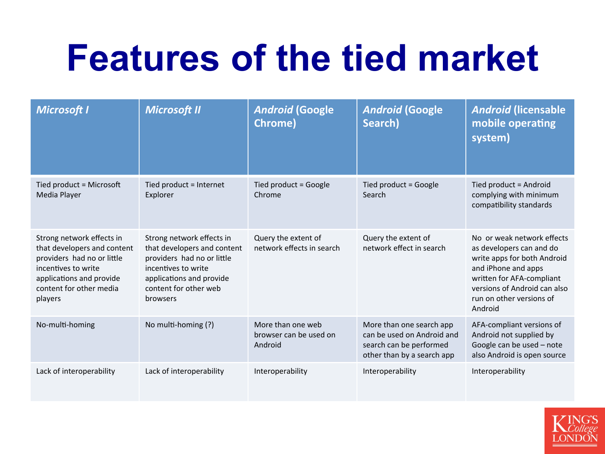#### **Features of the tied market**

| <b>Microsoft I</b>                                                                                                                                                              | <b>Microsoft II</b>                                                                                                                                                                   | <b>Android (Google</b><br><b>Chrome)</b>               | <b>Android (Google</b><br>Search)                                                                               | <b>Android (licensable</b><br>mobile operating<br>system)                                                                                                                                                        |
|---------------------------------------------------------------------------------------------------------------------------------------------------------------------------------|---------------------------------------------------------------------------------------------------------------------------------------------------------------------------------------|--------------------------------------------------------|-----------------------------------------------------------------------------------------------------------------|------------------------------------------------------------------------------------------------------------------------------------------------------------------------------------------------------------------|
| Tied product = Microsoft<br>Media Player                                                                                                                                        | Tied product = Internet<br>Explorer                                                                                                                                                   | Tied product = Google<br>Chrome                        | Tied product = Google<br>Search                                                                                 | Tied product = Android<br>complying with minimum<br>compatibility standards                                                                                                                                      |
| Strong network effects in<br>that developers and content<br>providers had no or little<br>incentives to write<br>applications and provide<br>content for other media<br>players | Strong network effects in<br>that developers and content<br>providers had no or little<br>incentives to write<br>applications and provide<br>content for other web<br><b>browsers</b> | Query the extent of<br>network effects in search       | Query the extent of<br>network effect in search                                                                 | No or weak network effects<br>as developers can and do<br>write apps for both Android<br>and iPhone and apps<br>written for AFA-compliant<br>versions of Android can also<br>run on other versions of<br>Android |
| No-multi-homing                                                                                                                                                                 | No multi-homing (?)                                                                                                                                                                   | More than one web<br>browser can be used on<br>Android | More than one search app<br>can be used on Android and<br>search can be performed<br>other than by a search app | AFA-compliant versions of<br>Android not supplied by<br>Google can be used - note<br>also Android is open source                                                                                                 |
| Lack of interoperability                                                                                                                                                        | Lack of interoperability                                                                                                                                                              | Interoperability                                       | Interoperability                                                                                                | Interoperability                                                                                                                                                                                                 |

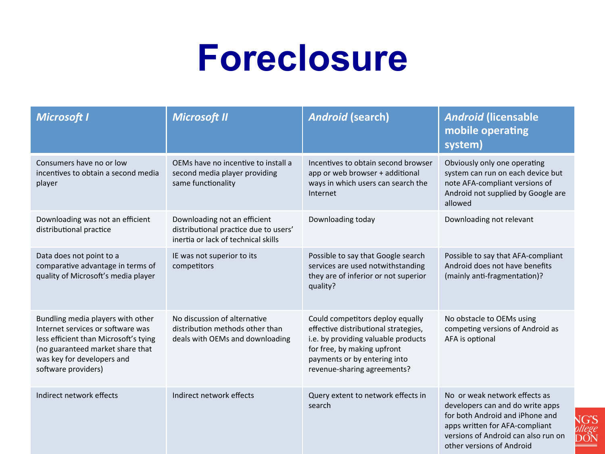#### **Foreclosure**

| <b>Microsoft I</b>                                                                                                                                                                                       | <b>Microsoft II</b>                                                                                          | <b>Android (search)</b>                                                                                                                                                                                       | <b>Android (licensable</b><br>mobile operating<br>system)                                                                                                                                                  |
|----------------------------------------------------------------------------------------------------------------------------------------------------------------------------------------------------------|--------------------------------------------------------------------------------------------------------------|---------------------------------------------------------------------------------------------------------------------------------------------------------------------------------------------------------------|------------------------------------------------------------------------------------------------------------------------------------------------------------------------------------------------------------|
| Consumers have no or low<br>incentives to obtain a second media<br>player                                                                                                                                | OEMs have no incentive to install a<br>second media player providing<br>same functionality                   | Incentives to obtain second browser<br>app or web browser + additional<br>ways in which users can search the<br>Internet                                                                                      | Obviously only one operating<br>system can run on each device but<br>note AFA-compliant versions of<br>Android not supplied by Google are<br>allowed                                                       |
| Downloading was not an efficient<br>distributional practice                                                                                                                                              | Downloading not an efficient<br>distributional practice due to users'<br>inertia or lack of technical skills | Downloading today                                                                                                                                                                                             | Downloading not relevant                                                                                                                                                                                   |
| Data does not point to a<br>comparative advantage in terms of<br>quality of Microsoft's media player                                                                                                     | IE was not superior to its<br>competitors                                                                    | Possible to say that Google search<br>services are used notwithstanding<br>they are of inferior or not superior<br>quality?                                                                                   | Possible to say that AFA-compliant<br>Android does not have benefits<br>(mainly anti-fragmentation)?                                                                                                       |
| Bundling media players with other<br>Internet services or software was<br>less efficient than Microsoft's tying<br>(no guaranteed market share that<br>was key for developers and<br>software providers) | No discussion of alternative<br>distribution methods other than<br>deals with OEMs and downloading           | Could competitors deploy equally<br>effective distributional strategies,<br>i.e. by providing valuable products<br>for free, by making upfront<br>payments or by entering into<br>revenue-sharing agreements? | No obstacle to OEMs using<br>competing versions of Android as<br>AFA is optional                                                                                                                           |
| Indirect network effects                                                                                                                                                                                 | Indirect network effects                                                                                     | Query extent to network effects in<br>search                                                                                                                                                                  | No or weak network effects as<br>developers can and do write apps<br>for both Android and iPhone and<br>apps written for AFA-compliant<br>versions of Android can also run on<br>other versions of Android |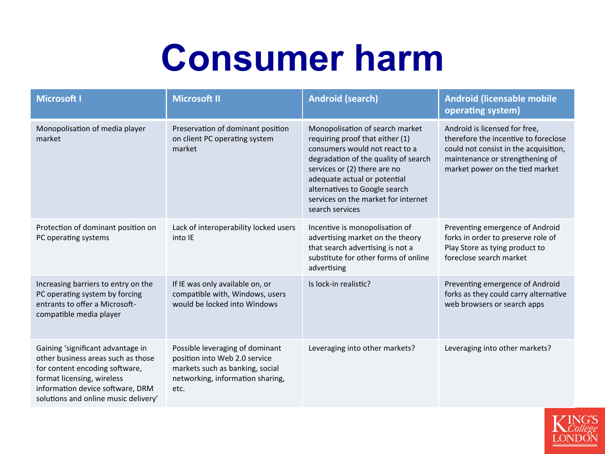#### **Consumer harm**

| <b>Microsoft I</b>                                                                                                                                                                                                  | <b>Microsoft II</b>                                                                                                                             | <b>Android (search)</b>                                                                                                                                                                                                                                                                                 | <b>Android (licensable mobile</b><br>operating system)                                                                                                                               |
|---------------------------------------------------------------------------------------------------------------------------------------------------------------------------------------------------------------------|-------------------------------------------------------------------------------------------------------------------------------------------------|---------------------------------------------------------------------------------------------------------------------------------------------------------------------------------------------------------------------------------------------------------------------------------------------------------|--------------------------------------------------------------------------------------------------------------------------------------------------------------------------------------|
| Monopolisation of media player<br>market                                                                                                                                                                            | Preservation of dominant position<br>on client PC operating system<br>market                                                                    | Monopolisation of search market<br>requiring proof that either (1)<br>consumers would not react to a<br>degradation of the quality of search<br>services or (2) there are no<br>adequate actual or potential<br>alternatives to Google search<br>services on the market for internet<br>search services | Android is licensed for free,<br>therefore the incentive to foreclose<br>could not consist in the acquisition,<br>maintenance or strengthening of<br>market power on the tied market |
| Protection of dominant position on<br>PC operating systems                                                                                                                                                          | Lack of interoperability locked users<br>into IE                                                                                                | Incentive is monopolisation of<br>advertising market on the theory<br>that search advertising is not a<br>substitute for other forms of online<br>advertising                                                                                                                                           | Preventing emergence of Android<br>forks in order to preserve role of<br>Play Store as tying product to<br>foreclose search market                                                   |
| Increasing barriers to entry on the<br>PC operating system by forcing<br>entrants to offer a Microsoft-<br>compatible media player                                                                                  | If IE was only available on, or<br>compatible with, Windows, users<br>would be locked into Windows                                              | Is lock-in realistic?                                                                                                                                                                                                                                                                                   | Preventing emergence of Android<br>forks as they could carry alternative<br>web browsers or search apps                                                                              |
| Gaining 'significant advantage in<br>other business areas such as those<br>for content encoding software,<br>format licensing, wireless<br>information device software, DRM<br>solutions and online music delivery' | Possible leveraging of dominant<br>position into Web 2.0 service<br>markets such as banking, social<br>networking, information sharing,<br>etc. | Leveraging into other markets?                                                                                                                                                                                                                                                                          | Leveraging into other markets?                                                                                                                                                       |

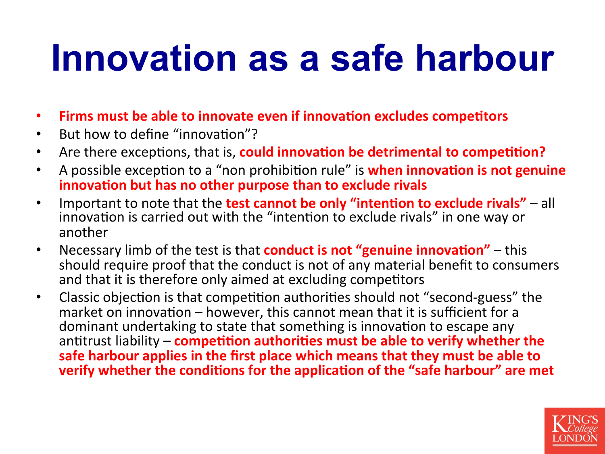#### **Innovation as a safe harbour**

- **Firms must be able to innovate even if innovation excludes competitors**
- But how to define "innovation"?
- Are there exceptions, that is, **could innovation be detrimental to competition?**
- A possible exception to a "non prohibition rule" is **when innovation is not genuine innovation but has no other purpose than to exclude rivals**
- Important to note that the **test cannot be only "intention to exclude rivals"** all innovation is carried out with the "intention to exclude rivals" in one way or another
- Necessary limb of the test is that **conduct is not "genuine innovation"** this should require proof that the conduct is not of any material benefit to consumers and that it is therefore only aimed at excluding competitors
- Classic objection is that competition authorities should not "second-guess" the market on innovation  $-$  however, this cannot mean that it is sufficient for a dominant undertaking to state that something is innovation to escape any antitrust liability – **competition authorities must be able to verify whether the** safe harbour applies in the first place which means that they must be able to **verify whether the conditions for the application of the "safe harbour" are met**

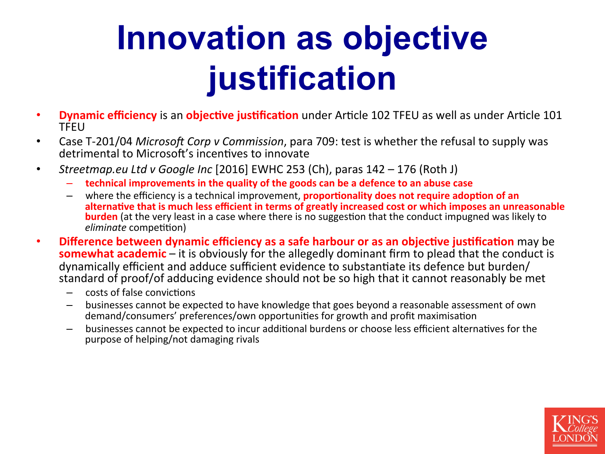#### **Innovation as objective justification**

- **Dynamic efficiency** is an **objective justification** under Article 102 TFEU as well as under Article 101 TFEU
- Case T-201/04 *Microsoft Corp v Commission*, para 709: test is whether the refusal to supply was detrimental to Microsoft's incentives to innovate
- Streetmap.eu Ltd v Google Inc [2016] EWHC 253 (Ch), paras 142 176 (Roth J)
	- technical improvements in the quality of the goods can be a defence to an abuse case
	- where the efficiency is a technical improvement, **proportionality does not require adoption of an** alternative that is much less efficient in terms of greatly increased cost or which imposes an unreasonable **burden** (at the very least in a case where there is no suggestion that the conduct impugned was likely to *eliminate* competition)
- Difference between dynamic efficiency as a safe harbour or as an objective justification may be **somewhat academic** – it is obviously for the allegedly dominant firm to plead that the conduct is dynamically efficient and adduce sufficient evidence to substantiate its defence but burden/ standard of proof/of adducing evidence should not be so high that it cannot reasonably be met
	- costs of false convictions
	- businesses cannot be expected to have knowledge that goes beyond a reasonable assessment of own demand/consumers' preferences/own opportunities for growth and profit maximisation
	- $-$  businesses cannot be expected to incur additional burdens or choose less efficient alternatives for the purpose of helping/not damaging rivals